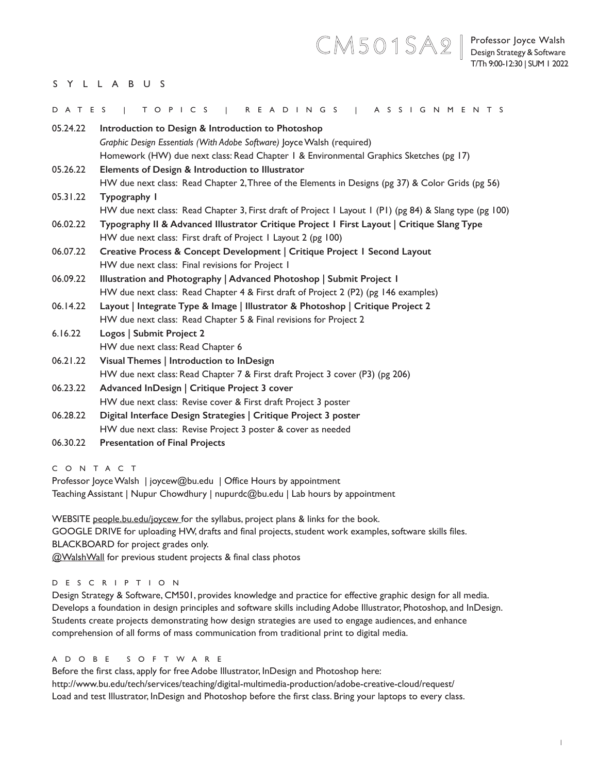# CM501SA2<sup>|</sup> Professor Joyce Walsh

# SYLLABUS

| DATES    | T O P I C S<br>I READINGS   ASSIGNMENTS                                                                 |
|----------|---------------------------------------------------------------------------------------------------------|
| 05.24.22 | Introduction to Design & Introduction to Photoshop                                                      |
|          | Graphic Design Essentials (With Adobe Software) Joyce Walsh (required)                                  |
|          | Homework (HW) due next class: Read Chapter 1 & Environmental Graphics Sketches (pg 17)                  |
| 05.26.22 | Elements of Design & Introduction to Illustrator                                                        |
|          | HW due next class: Read Chapter 2, Three of the Elements in Designs (pg 37) & Color Grids (pg 56)       |
| 05.31.22 | Typography I                                                                                            |
|          | HW due next class: Read Chapter 3, First draft of Project I Layout I (PI) (pg 84) & Slang type (pg 100) |
| 06.02.22 | Typography II & Advanced Illustrator Critique Project I First Layout   Critique Slang Type              |
|          | HW due next class: First draft of Project I Layout 2 (pg 100)                                           |
| 06.07.22 | Creative Process & Concept Development   Critique Project   Second Layout                               |
|          | HW due next class: Final revisions for Project 1                                                        |
| 06.09.22 | Illustration and Photography   Advanced Photoshop   Submit Project I                                    |
|          | HW due next class: Read Chapter 4 & First draft of Project 2 (P2) (pg 146 examples)                     |
| 06.14.22 | Layout   Integrate Type & Image   Illustrator & Photoshop   Critique Project 2                          |
|          | HW due next class: Read Chapter 5 & Final revisions for Project 2                                       |
| 6.16.22  | Logos   Submit Project 2                                                                                |
|          | HW due next class: Read Chapter 6                                                                       |
| 06.21.22 | Visual Themes   Introduction to InDesign                                                                |
|          | HW due next class: Read Chapter 7 & First draft Project 3 cover (P3) (pg 206)                           |
| 06.23.22 | Advanced InDesign   Critique Project 3 cover                                                            |
|          | HW due next class: Revise cover & First draft Project 3 poster                                          |
| 06.28.22 | Digital Interface Design Strategies   Critique Project 3 poster                                         |
|          | HW due next class: Revise Project 3 poster & cover as needed                                            |
| 06.30.22 | <b>Presentation of Final Projects</b>                                                                   |

CONTACT

Professor Joyce Walsh | joycew@bu.edu | Office Hours by appointment Teaching Assistant | Nupur Chowdhury | nupurdc@bu.edu | Lab hours by appointment

WEBSITE people.bu.edu/joycew for the syllabus, project plans & links for the book. GOOGLE DRIVE for uploading HW, drafts and final projects, student work examples, software skills files. BLACKBOARD for project grades only. @WalshWall for previous student projects & final class photos

## DESCRIPTION

Design Strategy & Software, CM501, provides knowledge and practice for effective graphic design for all media. Develops a foundation in design principles and software skills including Adobe Illustrator, Photoshop, and InDesign. Students create projects demonstrating how design strategies are used to engage audiences, and enhance comprehension of all forms of mass communication from traditional print to digital media.

## A D O B E S O F T W A R E

Before the first class, apply for free Adobe Illustrator, InDesign and Photoshop here: http://www.bu.edu/tech/services/teaching/digital-multimedia-production/adobe-creative-cloud/request/ Load and test Illustrator, InDesign and Photoshop before the first class. Bring your laptops to every class.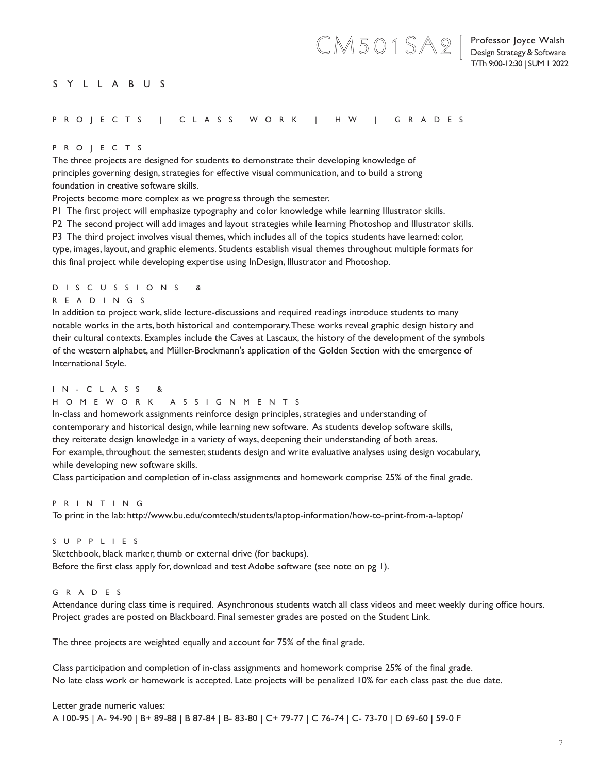## Professor Joyce Walsh Design Strategy & Software T/Th 9:00-12:30 | SUM 1 2022

CM501SA2**|**

# SYLLABUS

## PROJECTS | CLASS WORK | HW | GRADES

## PROJECTS

The three projects are designed for students to demonstrate their developing knowledge of principles governing design, strategies for effective visual communication, and to build a strong foundation in creative software skills.

Projects become more complex as we progress through the semester.

P1 The first project will emphasize typography and color knowledge while learning Illustrator skills.

P2 The second project will add images and layout strategies while learning Photoshop and Illustrator skills.

P3 The third project involves visual themes, which includes all of the topics students have learned: color,

type, images, layout, and graphic elements. Students establish visual themes throughout multiple formats for this final project while developing expertise using InDesign, Illustrator and Photoshop.

# D I S C U S S I O N S &

# READINGS

In addition to project work, slide lecture-discussions and required readings introduce students to many notable works in the arts, both historical and contemporary. These works reveal graphic design history and their cultural contexts. Examples include the Caves at Lascaux, the history of the development of the symbols of the western alphabet, and Müller-Brockmann's application of the Golden Section with the emergence of International Style.

## I N - C L A S S &

# HOMEWORK ASSIGNMENTS

In-class and homework assignments reinforce design principles, strategies and understanding of contemporary and historical design, while learning new software. As students develop software skills, they reiterate design knowledge in a variety of ways, deepening their understanding of both areas. For example, throughout the semester, students design and write evaluative analyses using design vocabulary, while developing new software skills.

Class participation and completion of in-class assignments and homework comprise 25% of the final grade.

# PRINTING

To print in the lab: http://www.bu.edu/comtech/students/laptop-information/how-to-print-from-a-laptop/

# SUPPLIES

Sketchbook, black marker, thumb or external drive (for backups). Before the first class apply for, download and test Adobe software (see note on pg 1).

## GRADES

Attendance during class time is required. Asynchronous students watch all class videos and meet weekly during office hours. Project grades are posted on Blackboard. Final semester grades are posted on the Student Link.

The three projects are weighted equally and account for 75% of the final grade.

Class participation and completion of in-class assignments and homework comprise 25% of the final grade. No late class work or homework is accepted. Late projects will be penalized 10% for each class past the due date.

Letter grade numeric values: A 100-95 | A- 94-90 | B+ 89-88 | B 87-84 | B- 83-80 | C+ 79-77 | C 76-74 | C- 73-70 | D 69-60 | 59-0 F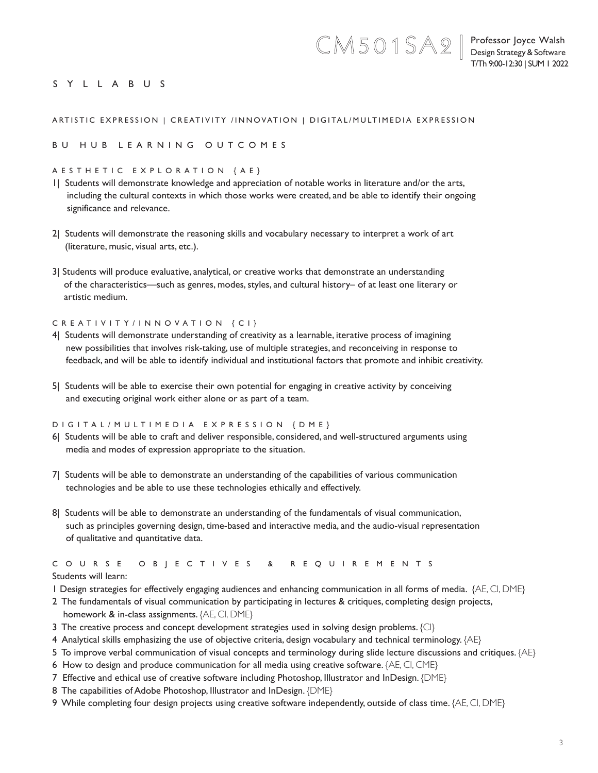CM501SA2**|**

# SYLLABUS

## ARTISTIC EXPRESSION | CREATIVITY /INNOVATION | DIGITAL/MULTIMEDIA EXPRESSION

### BU HUB LEARNING OUTCOMES

#### AESTHETIC EXPLORATION {AE}

- 1| Students will demonstrate knowledge and appreciation of notable works in literature and/or the arts, including the cultural contexts in which those works were created, and be able to identify their ongoing significance and relevance.
- 2| Students will demonstrate the reasoning skills and vocabulary necessary to interpret a work of art (literature, music, visual arts, etc.).
- 3| Students will produce evaluative, analytical, or creative works that demonstrate an understanding of the characteristics—such as genres, modes, styles, and cultural history– of at least one literary or artistic medium.

#### CREATIVITY/INNOVATION {CI}

- 4| Students will demonstrate understanding of creativity as a learnable, iterative process of imagining new possibilities that involves risk-taking, use of multiple strategies, and reconceiving in response to feedback, and will be able to identify individual and institutional factors that promote and inhibit creativity.
- 5| Students will be able to exercise their own potential for engaging in creative activity by conceiving and executing original work either alone or as part of a team.

#### DIGITAL/MULTIMEDIA EXPRESSION {DME}

- 6| Students will be able to craft and deliver responsible, considered, and well-structured arguments using media and modes of expression appropriate to the situation.
- 7| Students will be able to demonstrate an understanding of the capabilities of various communication technologies and be able to use these technologies ethically and effectively.
- 8| Students will be able to demonstrate an understanding of the fundamentals of visual communication, such as principles governing design, time-based and interactive media, and the audio-visual representation of qualitative and quantitative data.

# C O U R S E O B J E C T I V E S & R E Q U I R E M E N T S

## Students will learn:

- 1 Design strategies for effectively engaging audiences and enhancing communication in all forms of media. {AE, CI, DME}
- 2 The fundamentals of visual communication by participating in lectures & critiques, completing design projects,
- homework & in-class assignments. {AE, CI, DME}
- 3 The creative process and concept development strategies used in solving design problems. {CI}
- 4 Analytical skills emphasizing the use of objective criteria, design vocabulary and technical terminology. {AE}
- 5 To improve verbal communication of visual concepts and terminology during slide lecture discussions and critiques. {AE}
- 6 How to design and produce communication for all media using creative software. {AE, CI, CME}
- 7 Effective and ethical use of creative software including Photoshop, Illustrator and InDesign. {DME}
- 8 The capabilities of Adobe Photoshop, Illustrator and InDesign. {DME}
- 9 While completing four design projects using creative software independently, outside of class time. {AE, CI, DME}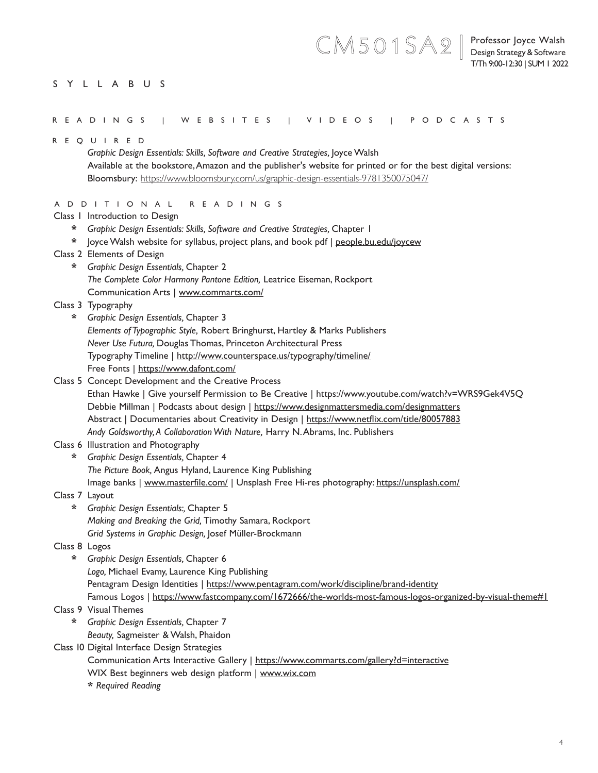# SYLLABUS

| READINGS   WEBSITES   VIDEOS   PODCASTS |  |
|-----------------------------------------|--|

CM501SA2**|**

|                | R E Q U I R E D                                                                                              |
|----------------|--------------------------------------------------------------------------------------------------------------|
|                | Graphic Design Essentials: Skills, Software and Creative Strategies, Joyce Walsh                             |
|                | Available at the bookstore, Amazon and the publisher's website for printed or for the best digital versions: |
|                | Bloomsbury: https://www.bloomsbury.com/us/graphic-design-essentials-9781350075047/                           |
|                |                                                                                                              |
|                | A D D I T I O N A L<br>R E A D I N G S                                                                       |
|                | Class I Introduction to Design                                                                               |
| *              | Graphic Design Essentials: Skills, Software and Creative Strategies, Chapter 1                               |
| *              | loyce Walsh website for syllabus, project plans, and book pdf   people.bu.edu/joycew                         |
|                | Class 2 Elements of Design                                                                                   |
| *              | Graphic Design Essentials, Chapter 2                                                                         |
|                | The Complete Color Harmony Pantone Edition, Leatrice Eiseman, Rockport                                       |
|                | Communication Arts   www.commarts.com/                                                                       |
|                | Class 3 Typography                                                                                           |
| *              | Graphic Design Essentials, Chapter 3                                                                         |
|                | Elements of Typographic Style, Robert Bringhurst, Hartley & Marks Publishers                                 |
|                | Never Use Futura, Douglas Thomas, Princeton Architectural Press                                              |
|                | Typography Timeline   http://www.counterspace.us/typography/timeline/                                        |
|                | Free Fonts   https://www.dafont.com/                                                                         |
|                | Class 5 Concept Development and the Creative Process                                                         |
|                | Ethan Hawke   Give yourself Permission to Be Creative   https://www.youtube.com/watch?v=WRS9Gek4V5Q          |
|                | Debbie Millman   Podcasts about design   https://www.designmattersmedia.com/designmatters                    |
|                | Abstract   Documentaries about Creativity in Design   https://www.netflix.com/title/80057883                 |
|                | Andy Goldsworthy, A Collaboration With Nature, Harry N. Abrams, Inc. Publishers                              |
|                | Class 6 Illustration and Photography                                                                         |
| *              | Graphic Design Essentials, Chapter 4                                                                         |
|                | The Picture Book, Angus Hyland, Laurence King Publishing                                                     |
|                | Image banks   www.masterfile.com/   Unsplash Free Hi-res photography: https://unsplash.com/                  |
| Class 7 Layout |                                                                                                              |
| *              | Graphic Design Essentials:, Chapter 5                                                                        |
|                | Making and Breaking the Grid, Timothy Samara, Rockport                                                       |
|                | Grid Systems in Graphic Design, Josef Müller-Brockmann                                                       |
| Class 8 Logos  |                                                                                                              |
| *              | Graphic Design Essentials, Chapter 6                                                                         |
|                | Logo, Michael Evamy, Laurence King Publishing                                                                |
|                | Pentagram Design Identities   https://www.pentagram.com/work/discipline/brand-identity                       |
|                | Famous Logos   https://www.fastcompany.com/1672666/the-worlds-most-famous-logos-organized-by-visual-theme#1  |
|                | Class 9 Visual Themes                                                                                        |
| $\star$        | Graphic Design Essentials, Chapter 7                                                                         |
|                | Beauty, Sagmeister & Walsh, Phaidon                                                                          |
|                | Class 10 Digital Interface Design Strategies                                                                 |
|                | Communication Arts Interactive Gallery   https://www.commarts.com/gallery?d=interactive                      |
|                |                                                                                                              |
|                | WIX Best beginners web design platform   www.wix.com                                                         |
|                | * Required Reading                                                                                           |